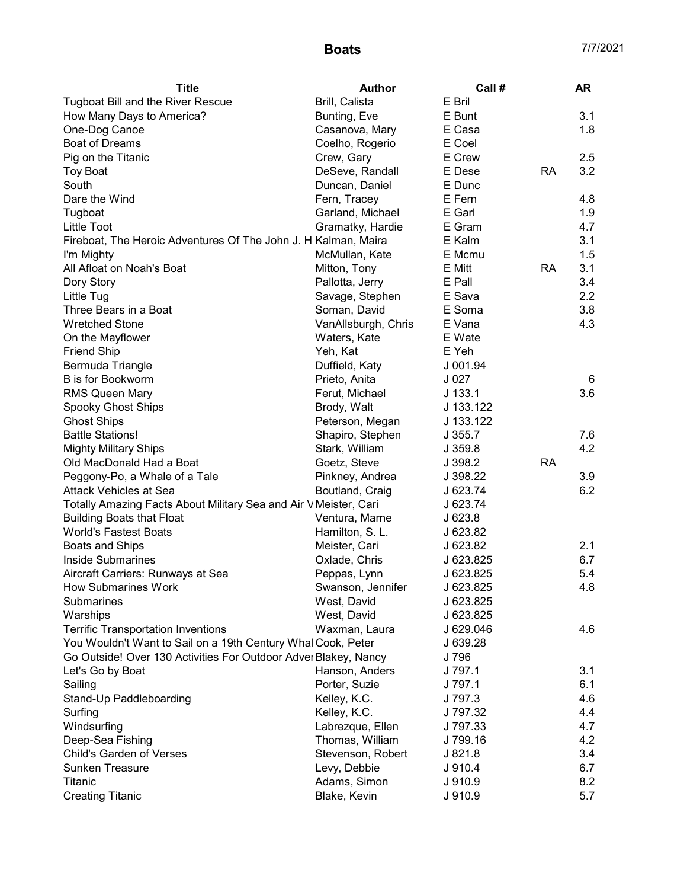| <b>Title</b>                                                     | <b>Author</b>       | Call #                 |           | <b>AR</b> |
|------------------------------------------------------------------|---------------------|------------------------|-----------|-----------|
| <b>Tugboat Bill and the River Rescue</b>                         | Brill, Calista      | E Bril                 |           |           |
| How Many Days to America?                                        | Bunting, Eve        | E Bunt                 |           | 3.1       |
| One-Dog Canoe                                                    | Casanova, Mary      | E Casa                 |           | 1.8       |
| Boat of Dreams                                                   | Coelho, Rogerio     | E Coel                 |           |           |
| Pig on the Titanic                                               | Crew, Gary          | E Crew                 |           | 2.5       |
| <b>Toy Boat</b>                                                  | DeSeve, Randall     | E Dese                 | RA        | 3.2       |
| South                                                            | Duncan, Daniel      | E Dunc                 |           |           |
| Dare the Wind                                                    | Fern, Tracey        | E Fern                 |           | 4.8       |
| Tugboat                                                          | Garland, Michael    | E Garl                 |           | 1.9       |
| Little Toot                                                      | Gramatky, Hardie    | E Gram                 |           | 4.7       |
| Fireboat, The Heroic Adventures Of The John J. H Kalman, Maira   |                     | E Kalm                 |           | 3.1       |
| I'm Mighty                                                       | McMullan, Kate      | E Mcmu                 |           | 1.5       |
| All Afloat on Noah's Boat                                        | Mitton, Tony        | E Mitt                 | <b>RA</b> | 3.1       |
| Dory Story                                                       | Pallotta, Jerry     | E Pall                 |           | 3.4       |
| Little Tug                                                       | Savage, Stephen     | E Sava                 |           | 2.2       |
| Three Bears in a Boat                                            | Soman, David        | E Soma                 |           | 3.8       |
| <b>Wretched Stone</b>                                            | VanAllsburgh, Chris | E Vana                 |           | 4.3       |
| On the Mayflower                                                 | Waters, Kate        | E Wate                 |           |           |
| <b>Friend Ship</b>                                               | Yeh, Kat            | E Yeh                  |           |           |
| Bermuda Triangle                                                 | Duffield, Katy      | J 001.94               |           |           |
| <b>B</b> is for Bookworm                                         | Prieto, Anita       | J <sub>027</sub>       |           | 6         |
| <b>RMS Queen Mary</b>                                            | Ferut, Michael      | $J$ 133.1              |           | 3.6       |
| Spooky Ghost Ships                                               | Brody, Walt         | J 133.122              |           |           |
| <b>Ghost Ships</b>                                               | Peterson, Megan     | J 133.122              |           |           |
| <b>Battle Stations!</b>                                          | Shapiro, Stephen    | J 355.7                |           | 7.6       |
| <b>Mighty Military Ships</b>                                     | Stark, William      | J 359.8                |           | 4.2       |
| Old MacDonald Had a Boat                                         | Goetz, Steve        | J 398.2                | <b>RA</b> |           |
| Peggony-Po, a Whale of a Tale                                    | Pinkney, Andrea     | J 398.22               |           | 3.9       |
| <b>Attack Vehicles at Sea</b>                                    | Boutland, Craig     | J 623.74               |           | 6.2       |
| Totally Amazing Facts About Military Sea and Air V Meister, Cari |                     | J 623.74               |           |           |
| <b>Building Boats that Float</b>                                 | Ventura, Marne      | J623.8                 |           |           |
| <b>World's Fastest Boats</b>                                     | Hamilton, S. L.     | J 623.82               |           |           |
| <b>Boats and Ships</b>                                           | Meister, Cari       | J 623.82               |           | 2.1       |
| <b>Inside Submarines</b>                                         | Oxlade, Chris       | J 623.825              |           | 6.7       |
| Aircraft Carriers: Runways at Sea                                | Peppas, Lynn        | J 623.825              |           | 5.4       |
|                                                                  |                     |                        |           |           |
| How Submarines Work<br>Submarines                                | Swanson, Jennifer   | J 623.825<br>J 623.825 |           | 4.8       |
|                                                                  | West, David         |                        |           |           |
| Warships                                                         | West, David         | J 623.825              |           |           |
| <b>Terrific Transportation Inventions</b>                        | Waxman, Laura       | J 629.046              |           | 4.6       |
| You Wouldn't Want to Sail on a 19th Century Whal Cook, Peter     |                     | J 639.28               |           |           |
| Go Outside! Over 130 Activities For Outdoor Adver Blakey, Nancy  |                     | J 796                  |           |           |
| Let's Go by Boat                                                 | Hanson, Anders      | J 797.1                |           | 3.1       |
| Sailing                                                          | Porter, Suzie       | J 797.1                |           | 6.1       |
| Stand-Up Paddleboarding                                          | Kelley, K.C.        | J 797.3                |           | 4.6       |
| Surfing                                                          | Kelley, K.C.        | J 797.32               |           | 4.4       |
| Windsurfing                                                      | Labrezque, Ellen    | J 797.33               |           | 4.7       |
| Deep-Sea Fishing                                                 | Thomas, William     | J 799.16               |           | 4.2       |
| <b>Child's Garden of Verses</b>                                  | Stevenson, Robert   | J 821.8                |           | 3.4       |
| <b>Sunken Treasure</b>                                           | Levy, Debbie        | J910.4                 |           | 6.7       |
| Titanic                                                          | Adams, Simon        | J910.9                 |           | 8.2       |
| <b>Creating Titanic</b>                                          | Blake, Kevin        | J910.9                 |           | 5.7       |